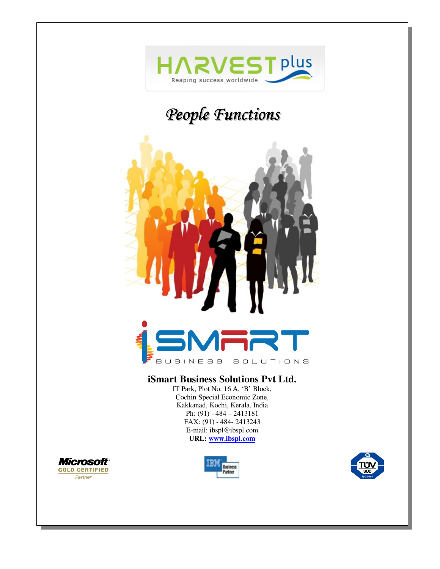

# *People Functions*



#### **iSmart Business Solutions Pvt Ltd.**

IT Park, Plot No. 16 A, 'B' Block, Cochin Special Economic Zone, Kakkanad, Kochi, Kerala, India Ph: (91) - 484 – 2413181 FAX: (91) - 484- 2413243 E-mail: ibspl@ibspl.com **URL: www.ibspl.com**





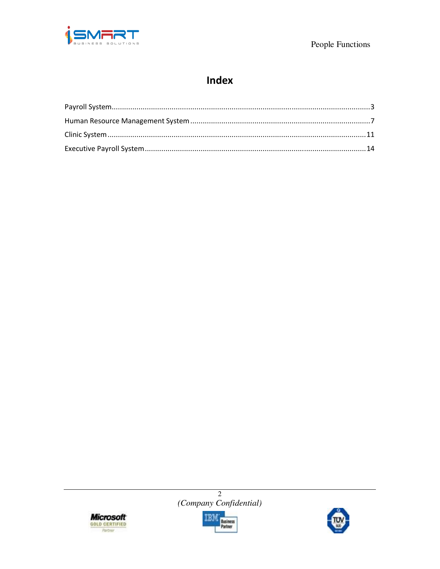

## **Index**





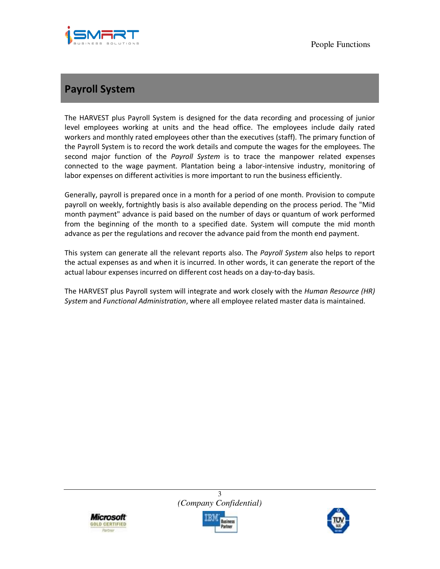

## **Payroll System**

The HARVEST plus Payroll System is designed for the data recording and processing of junior level employees working at units and the head office. The employees include daily rated workers and monthly rated employees other than the executives (staff). The primary function of the Payroll System is to record the work details and compute the wages for the employees. The second major function of the *Payroll System* is to trace the manpower related expenses connected to the wage payment. Plantation being a labor-intensive industry, monitoring of labor expenses on different activities is more important to run the business efficiently.

Generally, payroll is prepared once in a month for a period of one month. Provision to compute payroll on weekly, fortnightly basis is also available depending on the process period. The "Mid month payment" advance is paid based on the number of days or quantum of work performed from the beginning of the month to a specified date. System will compute the mid month advance as per the regulations and recover the advance paid from the month end payment.

This system can generate all the relevant reports also. The *Payroll System* also helps to report the actual expenses as and when it is incurred. In other words, it can generate the report of the actual labour expenses incurred on different cost heads on a day-to-day basis.

The HARVEST plus Payroll system will integrate and work closely with the *Human Resource (HR) System* and *Functional Administration*, where all employee related master data is maintained.





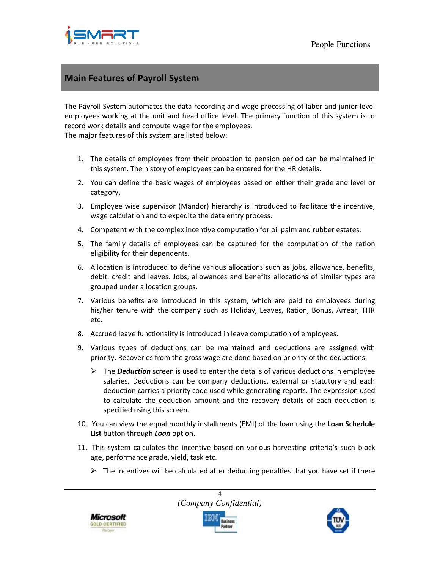

#### **Main Features of Payroll System**

The Payroll System automates the data recording and wage processing of labor and junior level employees working at the unit and head office level. The primary function of this system is to record work details and compute wage for the employees.

The major features of this system are listed below:

- 1. The details of employees from their probation to pension period can be maintained in this system. The history of employees can be entered for the HR details.
- 2. You can define the basic wages of employees based on either their grade and level or category.
- 3. Employee wise supervisor (Mandor) hierarchy is introduced to facilitate the incentive, wage calculation and to expedite the data entry process.
- 4. Competent with the complex incentive computation for oil palm and rubber estates.
- 5. The family details of employees can be captured for the computation of the ration eligibility for their dependents.
- 6. Allocation is introduced to define various allocations such as jobs, allowance, benefits, debit, credit and leaves. Jobs, allowances and benefits allocations of similar types are grouped under allocation groups.
- 7. Various benefits are introduced in this system, which are paid to employees during his/her tenure with the company such as Holiday, Leaves, Ration, Bonus, Arrear, THR etc.
- 8. Accrued leave functionality is introduced in leave computation of employees.
- 9. Various types of deductions can be maintained and deductions are assigned with priority. Recoveries from the gross wage are done based on priority of the deductions.
	- The *Deduction* screen is used to enter the details of various deductions in employee salaries. Deductions can be company deductions, external or statutory and each deduction carries a priority code used while generating reports. The expression used to calculate the deduction amount and the recovery details of each deduction is specified using this screen.
- 10. You can view the equal monthly installments (EMI) of the loan using the **Loan Schedule List** button through *Loan* option.
- 11. This system calculates the incentive based on various harvesting criteria's such block age, performance grade, yield, task etc.
	- $\triangleright$  The incentives will be calculated after deducting penalties that you have set if there







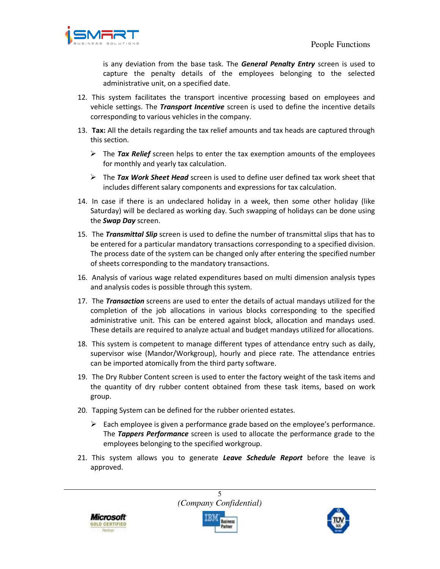

is any deviation from the base task. The *General Penalty Entry* screen is used to capture the penalty details of the employees belonging to the selected administrative unit, on a specified date.

- 12. This system facilitates the transport incentive processing based on employees and vehicle settings. The *Transport Incentive* screen is used to define the incentive details corresponding to various vehicles in the company.
- 13. **Tax:** All the details regarding the tax relief amounts and tax heads are captured through this section.
	- The *Tax Relief* screen helps to enter the tax exemption amounts of the employees for monthly and yearly tax calculation.
	- The *Tax Work Sheet Head* screen is used to define user defined tax work sheet that includes different salary components and expressions for tax calculation.
- 14. In case if there is an undeclared holiday in a week, then some other holiday (like Saturday) will be declared as working day. Such swapping of holidays can be done using the *Swap Day* screen.
- 15. The *Transmittal Slip* screen is used to define the number of transmittal slips that has to be entered for a particular mandatory transactions corresponding to a specified division. The process date of the system can be changed only after entering the specified number of sheets corresponding to the mandatory transactions.
- 16. Analysis of various wage related expenditures based on multi dimension analysis types and analysis codes is possible through this system.
- 17. The *Transaction* screens are used to enter the details of actual mandays utilized for the completion of the job allocations in various blocks corresponding to the specified administrative unit. This can be entered against block, allocation and mandays used. These details are required to analyze actual and budget mandays utilized for allocations.
- 18. This system is competent to manage different types of attendance entry such as daily, supervisor wise (Mandor/Workgroup), hourly and piece rate. The attendance entries can be imported atomically from the third party software.
- 19. The Dry Rubber Content screen is used to enter the factory weight of the task items and the quantity of dry rubber content obtained from these task items, based on work group.
- 20. Tapping System can be defined for the rubber oriented estates.
	- $\triangleright$  Each employee is given a performance grade based on the employee's performance. The *Tappers Performance* screen is used to allocate the performance grade to the employees belonging to the specified workgroup.
- 21. This system allows you to generate *Leave Schedule Report* before the leave is approved.

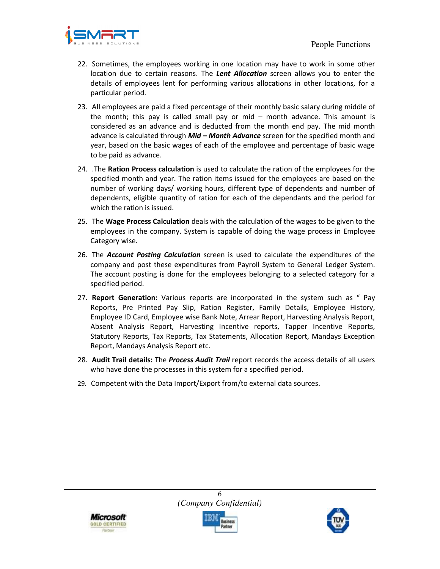

- 22. Sometimes, the employees working in one location may have to work in some other location due to certain reasons. The *Lent Allocation* screen allows you to enter the details of employees lent for performing various allocations in other locations, for a particular period.
- 23. All employees are paid a fixed percentage of their monthly basic salary during middle of the month; this pay is called small pay or mid – month advance. This amount is considered as an advance and is deducted from the month end pay. The mid month advance is calculated through *Mid – Month Advance* screen for the specified month and year, based on the basic wages of each of the employee and percentage of basic wage to be paid as advance.
- 24. .The **Ration Process calculation** is used to calculate the ration of the employees for the specified month and year. The ration items issued for the employees are based on the number of working days/ working hours, different type of dependents and number of dependents, eligible quantity of ration for each of the dependants and the period for which the ration is issued.
- 25. The **Wage Process Calculation** deals with the calculation of the wages to be given to the employees in the company. System is capable of doing the wage process in Employee Category wise.
- 26. The *Account Posting Calculation* screen is used to calculate the expenditures of the company and post these expenditures from Payroll System to General Ledger System. The account posting is done for the employees belonging to a selected category for a specified period.
- 27. **Report Generation:** Various reports are incorporated in the system such as " Pay Reports, Pre Printed Pay Slip, Ration Register, Family Details, Employee History, Employee ID Card, Employee wise Bank Note, Arrear Report, Harvesting Analysis Report, Absent Analysis Report, Harvesting Incentive reports, Tapper Incentive Reports, Statutory Reports, Tax Reports, Tax Statements, Allocation Report, Mandays Exception Report, Mandays Analysis Report etc.
- 28. **Audit Trail details:** The *Process Audit Trail* report records the access details of all users who have done the processes in this system for a specified period.
- 29. Competent with the Data Import/Export from/to external data sources.

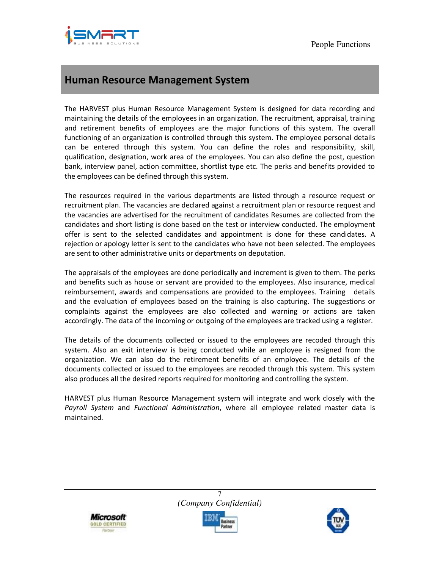

## **Human Resource Management System**

The HARVEST plus Human Resource Management System is designed for data recording and maintaining the details of the employees in an organization. The recruitment, appraisal, training and retirement benefits of employees are the major functions of this system. The overall functioning of an organization is controlled through this system. The employee personal details can be entered through this system. You can define the roles and responsibility, skill, qualification, designation, work area of the employees. You can also define the post, question bank, interview panel, action committee, shortlist type etc. The perks and benefits provided to the employees can be defined through this system.

The resources required in the various departments are listed through a resource request or recruitment plan. The vacancies are declared against a recruitment plan or resource request and the vacancies are advertised for the recruitment of candidates Resumes are collected from the candidates and short listing is done based on the test or interview conducted. The employment offer is sent to the selected candidates and appointment is done for these candidates. A rejection or apology letter is sent to the candidates who have not been selected. The employees are sent to other administrative units or departments on deputation.

The appraisals of the employees are done periodically and increment is given to them. The perks and benefits such as house or servant are provided to the employees. Also insurance, medical reimbursement, awards and compensations are provided to the employees. Training details and the evaluation of employees based on the training is also capturing. The suggestions or complaints against the employees are also collected and warning or actions are taken accordingly. The data of the incoming or outgoing of the employees are tracked using a register.

The details of the documents collected or issued to the employees are recoded through this system. Also an exit interview is being conducted while an employee is resigned from the organization. We can also do the retirement benefits of an employee. The details of the documents collected or issued to the employees are recoded through this system. This system also produces all the desired reports required for monitoring and controlling the system.

HARVEST plus Human Resource Management system will integrate and work closely with the *Payroll System* and *Functional Administration*, where all employee related master data is maintained.



7 *(Company Confidential)* 



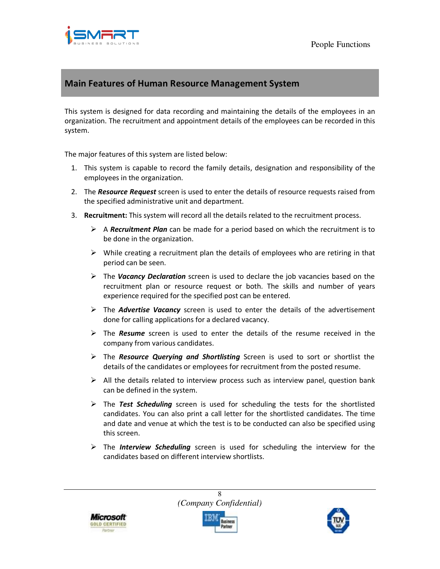

#### **Main Features of Human Resource Management System**

This system is designed for data recording and maintaining the details of the employees in an organization. The recruitment and appointment details of the employees can be recorded in this system.

The major features of this system are listed below:

- 1. This system is capable to record the family details, designation and responsibility of the employees in the organization.
- 2. The *Resource Request* screen is used to enter the details of resource requests raised from the specified administrative unit and department.
- 3. **Recruitment:** This system will record all the details related to the recruitment process.
	- A *Recruitment Plan* can be made for a period based on which the recruitment is to be done in the organization.
	- $\triangleright$  While creating a recruitment plan the details of employees who are retiring in that period can be seen.
	- The *Vacancy Declaration* screen is used to declare the job vacancies based on the recruitment plan or resource request or both. The skills and number of years experience required for the specified post can be entered.
	- The *Advertise Vacancy* screen is used to enter the details of the advertisement done for calling applications for a declared vacancy.
	- The *Resume* screen is used to enter the details of the resume received in the company from various candidates.
	- The *Resource Querying and Shortlisting* Screen is used to sort or shortlist the details of the candidates or employees for recruitment from the posted resume.
	- $\triangleright$  All the details related to interview process such as interview panel, question bank can be defined in the system.
	- The *Test Scheduling* screen is used for scheduling the tests for the shortlisted candidates. You can also print a call letter for the shortlisted candidates. The time and date and venue at which the test is to be conducted can also be specified using this screen.
	- The *Interview Scheduling* screen is used for scheduling the interview for the candidates based on different interview shortlists.

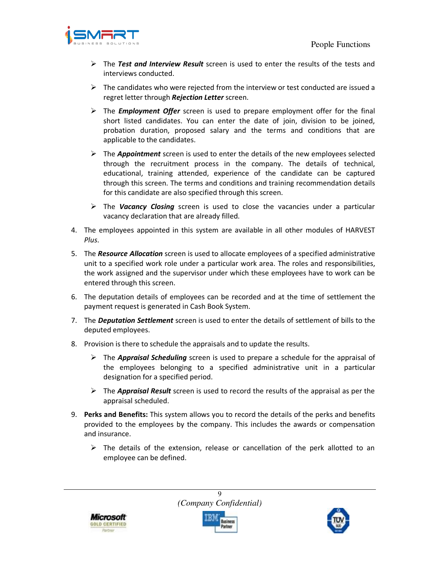

- The *Test and Interview Result* screen is used to enter the results of the tests and interviews conducted.
- $\triangleright$  The candidates who were rejected from the interview or test conducted are issued a regret letter through *Rejection Letter* screen.
- The *Employment Offer* screen is used to prepare employment offer for the final short listed candidates. You can enter the date of join, division to be joined, probation duration, proposed salary and the terms and conditions that are applicable to the candidates.
- The *Appointment* screen is used to enter the details of the new employees selected through the recruitment process in the company. The details of technical, educational, training attended, experience of the candidate can be captured through this screen. The terms and conditions and training recommendation details for this candidate are also specified through this screen.
- The *Vacancy Closing* screen is used to close the vacancies under a particular vacancy declaration that are already filled.
- 4. The employees appointed in this system are available in all other modules of HARVEST *Plus*.
- 5. The *Resource Allocation* screen is used to allocate employees of a specified administrative unit to a specified work role under a particular work area. The roles and responsibilities, the work assigned and the supervisor under which these employees have to work can be entered through this screen.
- 6. The deputation details of employees can be recorded and at the time of settlement the payment request is generated in Cash Book System.
- 7. The *Deputation Settlement* screen is used to enter the details of settlement of bills to the deputed employees.
- 8. Provision is there to schedule the appraisals and to update the results.
	- The *Appraisal Scheduling* screen is used to prepare a schedule for the appraisal of the employees belonging to a specified administrative unit in a particular designation for a specified period.
	- The *Appraisal Result* screen is used to record the results of the appraisal as per the appraisal scheduled.
- 9. **Perks and Benefits:** This system allows you to record the details of the perks and benefits provided to the employees by the company. This includes the awards or compensation and insurance.
	- $\triangleright$  The details of the extension, release or cancellation of the perk allotted to an employee can be defined.



9 *(Company Confidential)* 



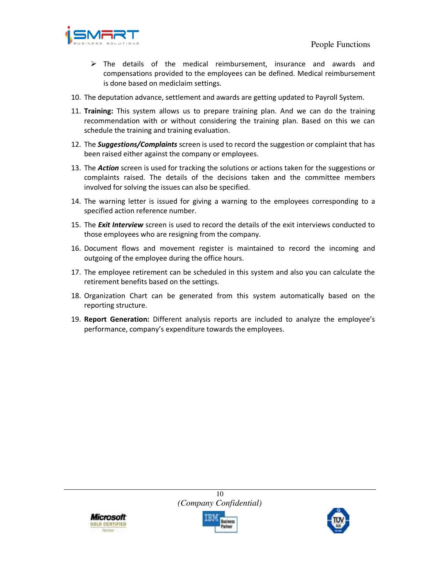

- $\triangleright$  The details of the medical reimbursement, insurance and awards and compensations provided to the employees can be defined. Medical reimbursement is done based on mediclaim settings.
- 10. The deputation advance, settlement and awards are getting updated to Payroll System.
- 11. **Training:** This system allows us to prepare training plan. And we can do the training recommendation with or without considering the training plan. Based on this we can schedule the training and training evaluation.
- 12. The *Suggestions/Complaints* screen is used to record the suggestion or complaint that has been raised either against the company or employees.
- 13. The *Action* screen is used for tracking the solutions or actions taken for the suggestions or complaints raised. The details of the decisions taken and the committee members involved for solving the issues can also be specified.
- 14. The warning letter is issued for giving a warning to the employees corresponding to a specified action reference number.
- 15. The *Exit Interview* screen is used to record the details of the exit interviews conducted to those employees who are resigning from the company.
- 16. Document flows and movement register is maintained to record the incoming and outgoing of the employee during the office hours.
- 17. The employee retirement can be scheduled in this system and also you can calculate the retirement benefits based on the settings.
- 18. Organization Chart can be generated from this system automatically based on the reporting structure.
- 19. **Report Generation:** Different analysis reports are included to analyze the employee's performance, company's expenditure towards the employees.





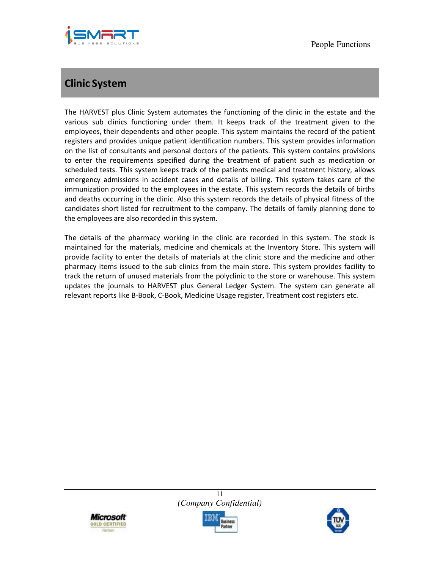

## **Clinic System**

The HARVEST plus Clinic System automates the functioning of the clinic in the estate and the various sub clinics functioning under them. It keeps track of the treatment given to the employees, their dependents and other people. This system maintains the record of the patient registers and provides unique patient identification numbers. This system provides information on the list of consultants and personal doctors of the patients. This system contains provisions to enter the requirements specified during the treatment of patient such as medication or scheduled tests. This system keeps track of the patients medical and treatment history, allows emergency admissions in accident cases and details of billing. This system takes care of the immunization provided to the employees in the estate. This system records the details of births and deaths occurring in the clinic. Also this system records the details of physical fitness of the candidates short listed for recruitment to the company. The details of family planning done to the employees are also recorded in this system.

The details of the pharmacy working in the clinic are recorded in this system. The stock is maintained for the materials, medicine and chemicals at the Inventory Store. This system will provide facility to enter the details of materials at the clinic store and the medicine and other pharmacy items issued to the sub clinics from the main store. This system provides facility to track the return of unused materials from the polyclinic to the store or warehouse. This system updates the journals to HARVEST plus General Ledger System. The system can generate all relevant reports like B-Book, C-Book, Medicine Usage register, Treatment cost registers etc.





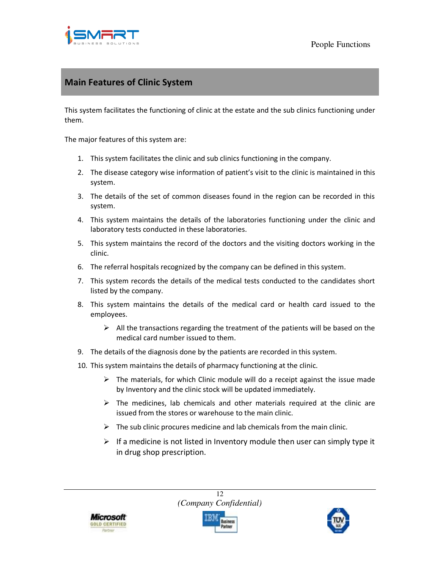

#### **Main Features of Clinic System**

This system facilitates the functioning of clinic at the estate and the sub clinics functioning under them.

The major features of this system are:

- 1. This system facilitates the clinic and sub clinics functioning in the company.
- 2. The disease category wise information of patient's visit to the clinic is maintained in this system.
- 3. The details of the set of common diseases found in the region can be recorded in this system.
- 4. This system maintains the details of the laboratories functioning under the clinic and laboratory tests conducted in these laboratories.
- 5. This system maintains the record of the doctors and the visiting doctors working in the clinic.
- 6. The referral hospitals recognized by the company can be defined in this system.
- 7. This system records the details of the medical tests conducted to the candidates short listed by the company.
- 8. This system maintains the details of the medical card or health card issued to the employees.
	- $\triangleright$  All the transactions regarding the treatment of the patients will be based on the medical card number issued to them.
- 9. The details of the diagnosis done by the patients are recorded in this system.
- 10. This system maintains the details of pharmacy functioning at the clinic.
	- $\triangleright$  The materials, for which Clinic module will do a receipt against the issue made by Inventory and the clinic stock will be updated immediately.
	- $\triangleright$  The medicines, lab chemicals and other materials required at the clinic are issued from the stores or warehouse to the main clinic.
	- $\triangleright$  The sub clinic procures medicine and lab chemicals from the main clinic.
	- $\triangleright$  If a medicine is not listed in Inventory module then user can simply type it in drug shop prescription.



12 *(Company Confidential)* 



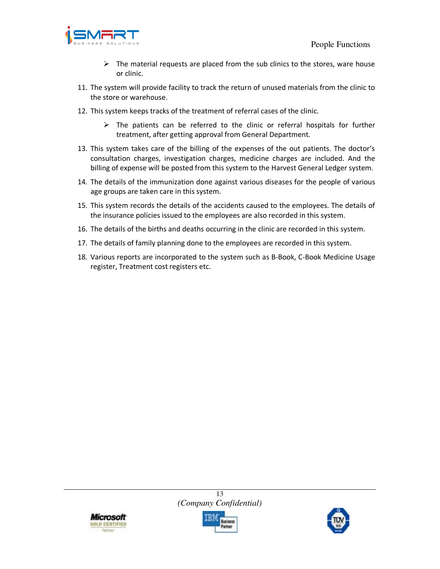

- $\triangleright$  The material requests are placed from the sub clinics to the stores, ware house or clinic.
- 11. The system will provide facility to track the return of unused materials from the clinic to the store or warehouse.
- 12. This system keeps tracks of the treatment of referral cases of the clinic.
	- $\triangleright$  The patients can be referred to the clinic or referral hospitals for further treatment, after getting approval from General Department.
- 13. This system takes care of the billing of the expenses of the out patients. The doctor's consultation charges, investigation charges, medicine charges are included. And the billing of expense will be posted from this system to the Harvest General Ledger system.
- 14. The details of the immunization done against various diseases for the people of various age groups are taken care in this system.
- 15. This system records the details of the accidents caused to the employees. The details of the insurance policies issued to the employees are also recorded in this system.
- 16. The details of the births and deaths occurring in the clinic are recorded in this system.
- 17. The details of family planning done to the employees are recorded in this system.
- 18. Various reports are incorporated to the system such as B-Book, C-Book Medicine Usage register, Treatment cost registers etc.





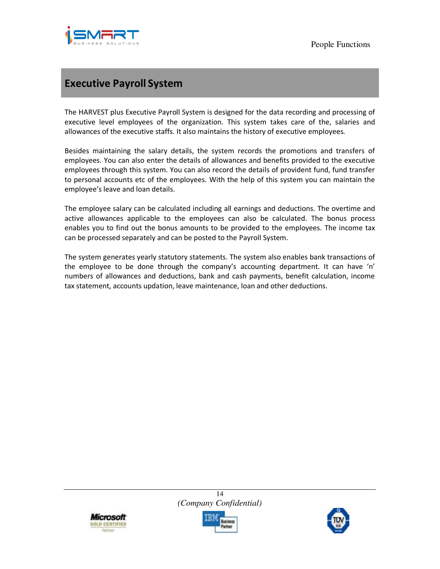

### **Executive Payroll System**

The HARVEST plus Executive Payroll System is designed for the data recording and processing of executive level employees of the organization. This system takes care of the, salaries and allowances of the executive staffs. It also maintains the history of executive employees.

Besides maintaining the salary details, the system records the promotions and transfers of employees. You can also enter the details of allowances and benefits provided to the executive employees through this system. You can also record the details of provident fund, fund transfer to personal accounts etc of the employees. With the help of this system you can maintain the employee's leave and loan details.

The employee salary can be calculated including all earnings and deductions. The overtime and active allowances applicable to the employees can also be calculated. The bonus process enables you to find out the bonus amounts to be provided to the employees. The income tax can be processed separately and can be posted to the Payroll System.

The system generates yearly statutory statements. The system also enables bank transactions of the employee to be done through the company's accounting department. It can have 'n' numbers of allowances and deductions, bank and cash payments, benefit calculation, income tax statement, accounts updation, leave maintenance, loan and other deductions.





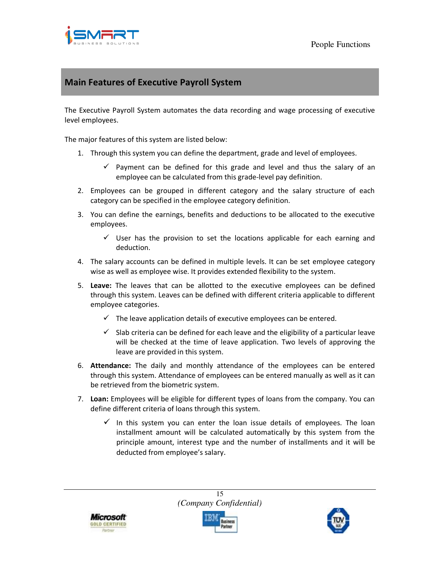

#### **Main Features of Executive Payroll System**

The Executive Payroll System automates the data recording and wage processing of executive level employees.

The major features of this system are listed below:

- 1. Through this system you can define the department, grade and level of employees.
	- $\checkmark$  Payment can be defined for this grade and level and thus the salary of an employee can be calculated from this grade-level pay definition.
- 2. Employees can be grouped in different category and the salary structure of each category can be specified in the employee category definition.
- 3. You can define the earnings, benefits and deductions to be allocated to the executive employees.
	- $\checkmark$  User has the provision to set the locations applicable for each earning and deduction.
- 4. The salary accounts can be defined in multiple levels. It can be set employee category wise as well as employee wise. It provides extended flexibility to the system.
- 5. **Leave:** The leaves that can be allotted to the executive employees can be defined through this system. Leaves can be defined with different criteria applicable to different employee categories.
	- $\checkmark$  The leave application details of executive employees can be entered.
	- $\checkmark$  Slab criteria can be defined for each leave and the eligibility of a particular leave will be checked at the time of leave application. Two levels of approving the leave are provided in this system.
- 6. **Attendance:** The daily and monthly attendance of the employees can be entered through this system. Attendance of employees can be entered manually as well as it can be retrieved from the biometric system.
- 7. **Loan:** Employees will be eligible for different types of loans from the company. You can define different criteria of loans through this system.
	- $\checkmark$  In this system you can enter the loan issue details of employees. The loan installment amount will be calculated automatically by this system from the principle amount, interest type and the number of installments and it will be deducted from employee's salary.